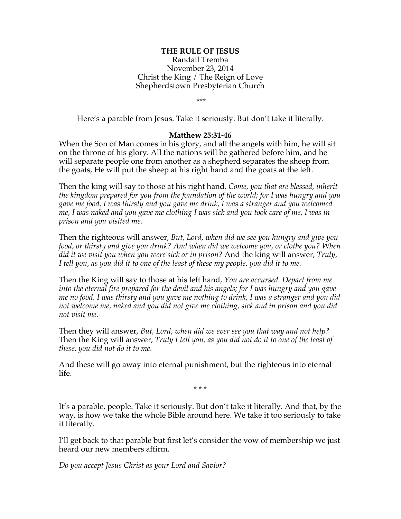## **THE RULE OF JESUS**

Randall Tremba November 23, 2014 Christ the King / The Reign of Love Shepherdstown Presbyterian Church

\*\*\*

Here's a parable from Jesus. Take it seriously. But don't take it literally.

## **Matthew 25:31-46**

When the Son of Man comes in his glory, and all the angels with him, he will sit on the throne of his glory. All the nations will be gathered before him, and he will separate people one from another as a shepherd separates the sheep from the goats, He will put the sheep at his right hand and the goats at the left.

Then the king will say to those at his right hand*, Come, you that are blessed, inherit the kingdom prepared for you from the foundation of the world; for I was hungry and you gave me food, I was thirsty and you gave me drink, I was a stranger and you welcomed me, I was naked and you gave me clothing I was sick and you took care of me, I was in prison and you visited me.*

Then the righteous will answer, *But, Lord, when did we see you hungry and give you food, or thirsty and give you drink? And when did we welcome you, or clothe you? When did it we visit you when you were sick or in prison?* And the king will answer, *Truly, I tell you, as you did it to one of the least of these my people, you did it to me.*

Then the King will say to those at his left hand, *You are accursed. Depart from me into the eternal fire prepared for the devil and his angels; for I was hungry and you gave me no food, I was thirsty and you gave me nothing to drink, I was a stranger and you did not welcome me, naked and you did not give me clothing, sick and in prison and you did not visit me.*

Then they will answer, *But, Lord, when did we ever see you that way and not help?* Then the King will answer, *Truly I tell you, as you did not do it to one of the least of these, you did not do it to me.*

And these will go away into eternal punishment, but the righteous into eternal life.

\* \* \*

It's a parable, people. Take it seriously. But don't take it literally. And that, by the way, is how we take the whole Bible around here. We take it too seriously to take it literally.

I'll get back to that parable but first let's consider the vow of membership we just heard our new members affirm.

*Do you accept Jesus Christ as your Lord and Savior?*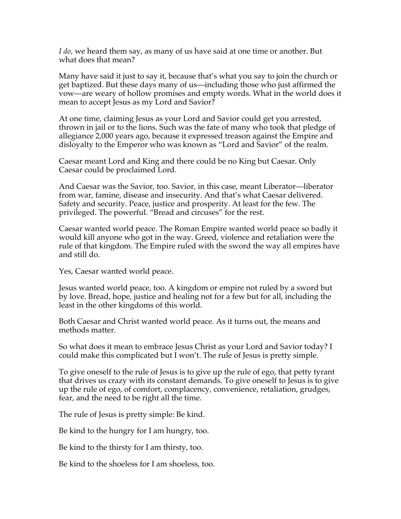*I do,* we heard them say, as many of us have said at one time or another. But what does that mean?

Many have said it just to say it, because that's what you say to join the church or get baptized. But these days many of us—including those who just affirmed the vow—are weary of hollow promises and empty words. What in the world does it mean to accept Jesus as my Lord and Savior?

At one time, claiming Jesus as your Lord and Savior could get you arrested, thrown in jail or to the lions. Such was the fate of many who took that pledge of allegiance 2,000 years ago, because it expressed treason against the Empire and disloyalty to the Emperor who was known as "Lord and Savior" of the realm.

Caesar meant Lord and King and there could be no King but Caesar. Only Caesar could be proclaimed Lord.

And Caesar was the Savior, too. Savior, in this case, meant Liberator—liberator from war, famine, disease and insecurity. And that's what Caesar delivered. Safety and security. Peace, justice and prosperity. At least for the few. The privileged. The powerful. "Bread and circuses" for the rest.

Caesar wanted world peace. The Roman Empire wanted world peace so badly it would kill anyone who got in the way. Greed, violence and retaliation were the rule of that kingdom. The Empire ruled with the sword the way all empires have and still do.

Yes, Caesar wanted world peace.

Jesus wanted world peace, too. A kingdom or empire not ruled by a sword but by love. Bread, hope, justice and healing not for a few but for all, including the least in the other kingdoms of this world.

Both Caesar and Christ wanted world peace. As it turns out, the means and methods matter.

So what does it mean to embrace Jesus Christ as your Lord and Savior today? I could make this complicated but I won't. The rule of Jesus is pretty simple.

To give oneself to the rule of Jesus is to give up the rule of ego, that petty tyrant that drives us crazy with its constant demands. To give oneself to Jesus is to give up the rule of ego, of comfort, complacency, convenience, retaliation, grudges, fear, and the need to be right all the time.

The rule of Jesus is pretty simple: Be kind.

Be kind to the hungry for I am hungry, too.

Be kind to the thirsty for I am thirsty, too.

Be kind to the shoeless for I am shoeless, too.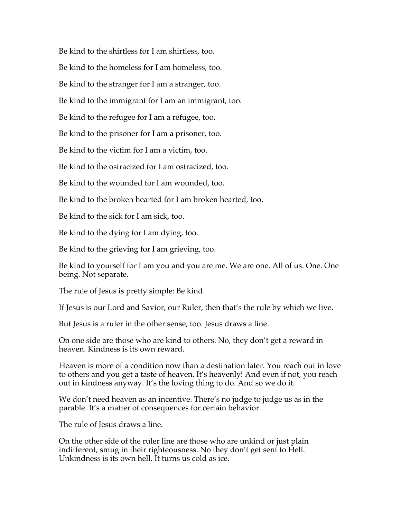Be kind to the shirtless for I am shirtless, too.

Be kind to the homeless for I am homeless, too.

Be kind to the stranger for I am a stranger, too.

Be kind to the immigrant for I am an immigrant, too.

Be kind to the refugee for I am a refugee, too.

Be kind to the prisoner for I am a prisoner, too.

Be kind to the victim for I am a victim, too.

Be kind to the ostracized for I am ostracized, too.

Be kind to the wounded for I am wounded, too.

Be kind to the broken hearted for I am broken hearted, too.

Be kind to the sick for I am sick, too.

Be kind to the dying for I am dying, too.

Be kind to the grieving for I am grieving, too.

Be kind to yourself for I am you and you are me. We are one. All of us. One. One being. Not separate.

The rule of Jesus is pretty simple: Be kind.

If Jesus is our Lord and Savior, our Ruler, then that's the rule by which we live.

But Jesus is a ruler in the other sense, too. Jesus draws a line.

On one side are those who are kind to others. No, they don't get a reward in heaven. Kindness is its own reward.

Heaven is more of a condition now than a destination later. You reach out in love to others and you get a taste of heaven. It's heavenly! And even if not, you reach out in kindness anyway. It's the loving thing to do. And so we do it.

We don't need heaven as an incentive. There's no judge to judge us as in the parable. It's a matter of consequences for certain behavior.

The rule of Jesus draws a line.

On the other side of the ruler line are those who are unkind or just plain indifferent, smug in their righteousness. No they don't get sent to Hell. Unkindness is its own hell. It turns us cold as ice.